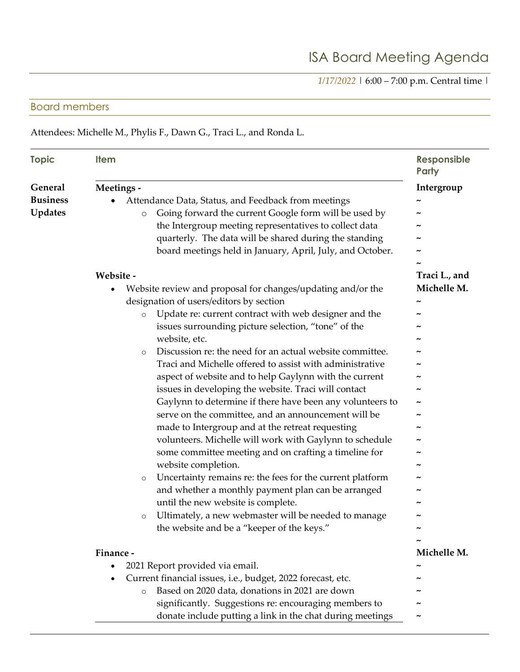*1/17/2022* | 6:00 – 7:00 p.m. Central time |

## Board members

Attendees: Michelle M., Phylis F., Dawn G., Traci L., and Ronda L.

| <b>Topic</b>                                 | <b>Item</b>                                                                                                                                                                                                                                                                                                                                                                                                                                                                                                                                                                                                                                                   | <b>Responsible</b><br><b>Party</b>                                  |
|----------------------------------------------|---------------------------------------------------------------------------------------------------------------------------------------------------------------------------------------------------------------------------------------------------------------------------------------------------------------------------------------------------------------------------------------------------------------------------------------------------------------------------------------------------------------------------------------------------------------------------------------------------------------------------------------------------------------|---------------------------------------------------------------------|
| General<br><b>Business</b><br><b>Updates</b> | Meetings -<br>Attendance Data, Status, and Feedback from meetings<br>Going forward the current Google form will be used by<br>$\circ$<br>the Intergroup meeting representatives to collect data<br>quarterly. The data will be shared during the standing<br>board meetings held in January, April, July, and October.<br>Website -<br>Website review and proposal for changes/updating and/or the<br>designation of users/editors by section<br>Update re: current contract with web designer and the<br>$\circ$<br>issues surrounding picture selection, "tone" of the                                                                                      | Intergroup<br>$\tilde{\phantom{a}}$<br>Traci L., and<br>Michelle M. |
|                                              | website, etc.<br>Discussion re: the need for an actual website committee.<br>$\circ$<br>Traci and Michelle offered to assist with administrative<br>aspect of website and to help Gaylynn with the current<br>issues in developing the website. Traci will contact<br>Gaylynn to determine if there have been any volunteers to<br>serve on the committee, and an announcement will be<br>made to Intergroup and at the retreat requesting<br>volunteers. Michelle will work with Gaylynn to schedule<br>some committee meeting and on crafting a timeline for<br>website completion.<br>Uncertainty remains re: the fees for the current platform<br>$\circ$ |                                                                     |
|                                              | and whether a monthly payment plan can be arranged<br>until the new website is complete.<br>Ultimately, a new webmaster will be needed to manage<br>$\circ$<br>the website and be a "keeper of the keys."                                                                                                                                                                                                                                                                                                                                                                                                                                                     |                                                                     |
|                                              | Finance -<br>2021 Report provided via email.<br>Current financial issues, i.e., budget, 2022 forecast, etc.<br>Based on 2020 data, donations in 2021 are down<br>$\circ$<br>significantly. Suggestions re: encouraging members to<br>donate include putting a link in the chat during meetings                                                                                                                                                                                                                                                                                                                                                                | Michelle M.                                                         |